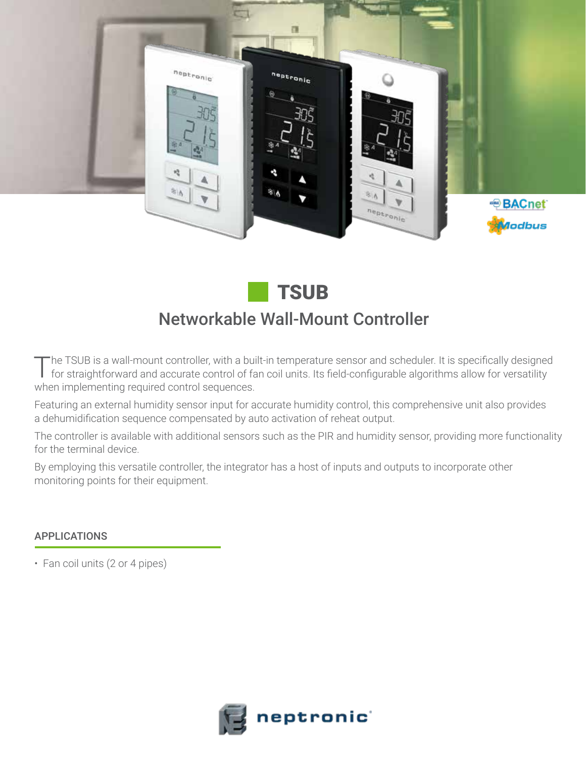

# Networkable Wall-Mount Controller **TSUB**

The TSUB is a wall-mount controller, with a built-in temperature sensor and scheduler. It is specifically designed for straightforward and accurate control of fan coil units. Its field-configurable algorithms allow for versatility when implementing required control sequences.

Featuring an external humidity sensor input for accurate humidity control, this comprehensive unit also provides a dehumidification sequence compensated by auto activation of reheat output.

The controller is available with additional sensors such as the PIR and humidity sensor, providing more functionality for the terminal device.

By employing this versatile controller, the integrator has a host of inputs and outputs to incorporate other monitoring points for their equipment.

# APPLICATIONS

• Fan coil units (2 or 4 pipes)

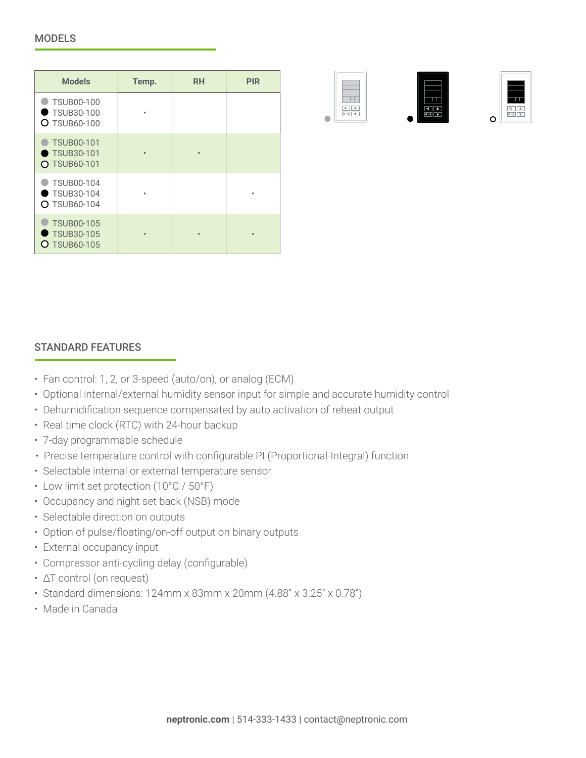| <b>Models</b>                                                 | Temp. | <b>RH</b> | <b>PIR</b> |
|---------------------------------------------------------------|-------|-----------|------------|
| <b>TSUB00-100</b><br>TSUB30-100<br><b>O</b> TSUB60-100        |       |           |            |
| <b>TSUB00-101</b><br><b>TSUB30-101</b><br><b>O TSUB60-101</b> |       |           |            |
| TSUB00-104<br><b>TSUB30-104</b><br><b>O</b> TSUB60-104        |       |           |            |
| <b>TSUB00-105</b><br><b>TSUB30-105</b><br>$O$ TSUB60-105      |       | $\bullet$ | $\bullet$  |







## STANDARD FEATURES

- Fan control: 1, 2, or 3-speed (auto/on), or analog (ECM)
- Optional internal/external humidity sensor input for simple and accurate humidity control
- Dehumidification sequence compensated by auto activation of reheat output
- Real time clock (RTC) with 24-hour backup
- 7-day programmable schedule
- Precise temperature control with configurable PI (Proportional-Integral) function
- Selectable internal or external temperature sensor
- Low limit set protection (10°C / 50°F)
- Occupancy and night set back (NSB) mode
- Selectable direction on outputs
- Option of pulse/floating/on-off output on binary outputs
- External occupancy input
- Compressor anti-cycling delay (configurable)
- ΔT control (on request)
- Standard dimensions: 124mm x 83mm x 20mm (4.88" x 3.25" x 0.78")
- Made in Canada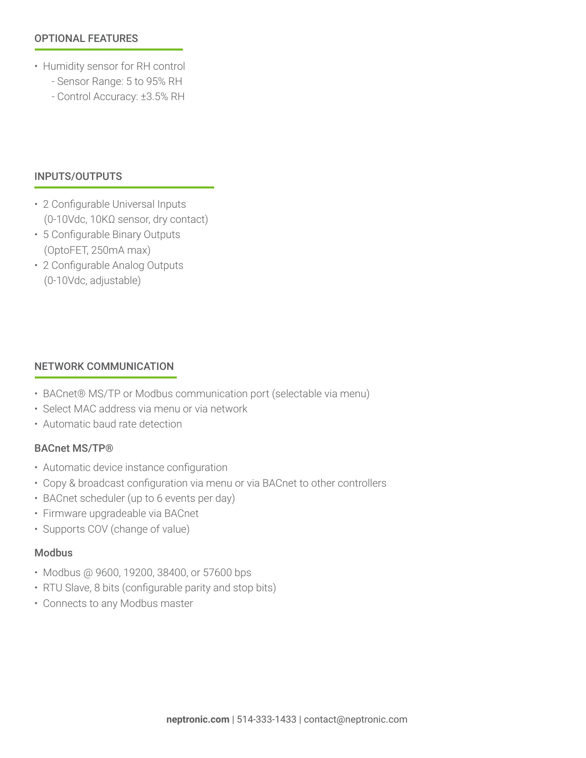### OPTIONAL FEATURES

- Humidity sensor for RH control
	- Sensor Range: 5 to 95% RH
	- Control Accuracy: ±3.5% RH

#### INPUTS/OUTPUTS

- 2 Configurable Universal Inputs (0-10Vdc, 10KΩ sensor, dry contact)
- 5 Configurable Binary Outputs (OptoFET, 250mA max)
- 2 Configurable Analog Outputs (0-10Vdc, adjustable)

#### NETWORK COMMUNICATION

- BACnet® MS/TP or Modbus communication port (selectable via menu)
- Select MAC address via menu or via network
- Automatic baud rate detection

#### BACnet MS/TP®

- Automatic device instance configuration
- Copy & broadcast configuration via menu or via BACnet to other controllers
- BACnet scheduler (up to 6 events per day)
- Firmware upgradeable via BACnet
- Supports COV (change of value)

## Modbus

- Modbus @ 9600, 19200, 38400, or 57600 bps
- RTU Slave, 8 bits (configurable parity and stop bits)
- Connects to any Modbus master